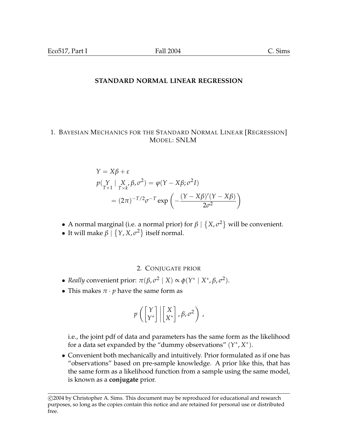## **STANDARD NORMAL LINEAR REGRESSION**

## 1. BAYESIAN MECHANICS FOR THE STANDARD NORMAL LINEAR [REGRESSION] MODEL: SNLM

$$
Y = X\beta + \varepsilon
$$
  
\n
$$
p(\underset{T\times 1}{Y} | \underset{T\times k}{X}, \beta, \sigma^2) = \varphi(Y - X\beta; \sigma^2 I)
$$
  
\n
$$
= (2\pi)^{-T/2} \sigma^{-T} \exp\left(-\frac{(Y - X\beta)'(Y - X\beta)}{2\sigma^2}\right)
$$

- A normal marginal (i.e. a normal prior) for *β* |  $\overline{a}$  $X, \sigma^2$ mal (i.e. a normal prior) for  $\beta \mid \{X, \sigma^2\}$  will be convenient.
- It will make  $\beta$  |  $\{Y, X, \sigma^2\}$  itself normal.

# 2. CONJUGATE PRIOR

- *Really* convenient prior:  $\pi(\beta, \sigma^2 | X) \propto \phi(Y^* | X^*, \beta, \sigma^2)$ .
- This makes  $\pi \cdot p$  have the same form as

$$
p\left(\begin{bmatrix} Y \\ Y^* \end{bmatrix} \middle| \begin{bmatrix} X \\ X^* \end{bmatrix}, \beta, \sigma^2\right),
$$

i.e., the joint pdf of data and parameters has the same form as the likelihood for a data set expanded by the "dummy observations"  $(Y^*, X^*)$ .

• Convenient both mechanically and intuitively. Prior formulated as if one has "observations" based on pre-sample knowledge. A prior like this, that has the same form as a likelihood function from a sample using the same model, is known as a **conjugate** prior.

<sup>°</sup>c 2004 by Christopher A. Sims. This document may be reproduced for educational and research purposes, so long as the copies contain this notice and are retained for personal use or distributed free.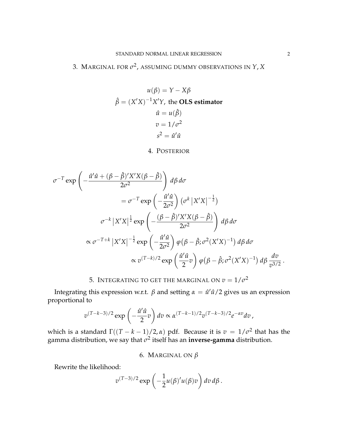# 3. Marginal for  $\sigma^2$ , assuming dummy observations in  $Y$ ,  $X$

$$
u(\beta) = Y - X\beta
$$

$$
\hat{\beta} = (X'X)^{-1}X'Y, \text{ the OLS estimator}
$$

$$
\hat{u} = u(\hat{\beta})
$$

$$
v = 1/\sigma^2
$$

$$
s^2 = \hat{u}'\hat{u}
$$

#### 4. POSTERIOR

$$
\sigma^{-T} \exp\left(-\frac{\hat{u}'\hat{u} + (\beta - \hat{\beta})'X'X(\beta - \hat{\beta})}{2\sigma^2}\right) d\beta d\sigma
$$
  
\n
$$
= \sigma^{-T} \exp\left(-\frac{\hat{u}'\hat{u}}{2\sigma^2}\right) (\sigma^k |X'X|^{-\frac{1}{2}})
$$
  
\n
$$
\sigma^{-k} |X'X|^{\frac{1}{2}} \exp\left(-\frac{(\beta - \hat{\beta})'X'X(\beta - \hat{\beta})}{2\sigma^2}\right) d\beta d\sigma
$$
  
\n
$$
\propto \sigma^{-T+k} |X'X|^{-\frac{1}{2}} \exp\left(-\frac{\hat{u}'\hat{u}}{2\sigma^2}\right) \varphi(\beta - \hat{\beta}; \sigma^2(X'X)^{-1}) d\beta d\sigma
$$
  
\n
$$
\propto v^{(T-k)/2} \exp\left(\frac{\hat{u}'\hat{u}}{2}v\right) \varphi(\beta - \hat{\beta}; \sigma^2(X'X)^{-1}) d\beta \frac{dv}{v^{3/2}}.
$$

# 5. Integrating to get the marginal on  $v=1/\sigma^2$

Integrating this expression w.r.t. *β* and setting  $\alpha = \hat{u}'\hat{u}/2$  gives us an expression proportional to

$$
v^{(T-k-3)/2} \exp\left(-\frac{\hat{u}'\hat{u}}{2}v\right) dv \propto \alpha^{(T-k-1)/2} v^{(T-k-3)/2} e^{-\alpha v} dv,
$$

which is a standard  $\Gamma((T-k-1)/2, \alpha)$  pdf. Because it is  $v = 1/\sigma^2$  that has the gamma distribution, we say that  $\sigma^2$  itself has an **inverse-gamma** distribution.

6. MARGINAL ON *β*

Rewrite the likelihood:

$$
v^{(T-3)/2} \exp \left(-\frac{1}{2}u(\beta)'u(\beta)v\right) dv d\beta.
$$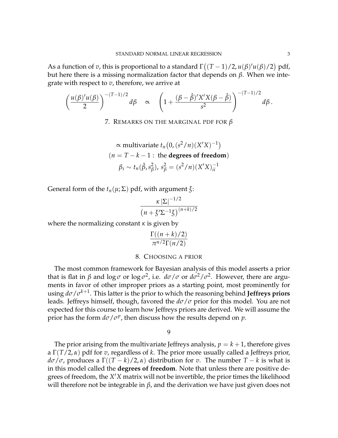As a function of *v*, this is proportional to a standard Γ ¡  $(T-1)/2, u(\beta)'u(\beta)/2)$ pdf, but here there is a missing normalization factor that depends on *β*. When we integrate with respect to *v*, therefore, we arrive at

$$
\left(\frac{u(\beta)'u(\beta)}{2}\right)^{-(T-1)/2}d\beta \quad \propto \quad \left(1+\frac{(\beta-\hat{\beta})'X'X(\beta-\hat{\beta})}{s^2}\right)^{-(T-1)/2}d\beta\,.
$$

7. REMARKS ON THE MARGINAL PDF FOR *β*

$$
\alpha \text{ multivariate } t_n(0, (s^2/n)(X'X)^{-1})
$$
  
( $n = T - k - 1$ : the **degrees of freedom**)  
 $\beta_i \sim t_n(\hat{\beta}, s_\beta^2), s_\beta^2 = (s^2/n)(X'X)_{ii}^{-1}$ 

General form of the *tn*(*µ*; Σ) pdf, with argument *ξ*:

$$
\frac{\kappa |\Sigma|^{-1/2}}{\left(n+\xi'\Sigma^{-1}\xi\right)^{(n+k)/2}}
$$

where the normalizing constant  $\kappa$  is given by

$$
\frac{\Gamma((n+k)/2)}{\pi^{n/2}\Gamma(n/2)}
$$

#### 8. CHOOSING A PRIOR

The most common framework for Bayesian analysis of this model asserts a prior that is flat in *β* and  $log \sigma$  or  $log \sigma^2$ , i.e.  $d\sigma/\sigma$  or  $d\sigma^2/\sigma^2$ . However, there are arguments in favor of other improper priors as a starting point, most prominently for using *dσ*/*σ k*+1 . This latter is the prior to which the reasoning behind **Jeffreys priors** leads. Jeffreys himself, though, favored the *dσ*/*σ* prior for this model. You are not expected for this course to learn how Jeffreys priors are derived. We will assume the prior has the form  $d\sigma/\sigma^p$ , then discuss how the results depend on *p*.

#### 9

The prior arising from the multivariate Jeffreys analysis,  $p = k + 1$ , therefore gives a Γ(*T*/2, *α*) pdf for *v*, regardless of *k*. The prior more usually called a Jeffreys prior, *dσ*/*σ*, produces a Γ((*T* − *k*)/2, *α*) distribution for *v*. The number *T* − *k* is what is in this model called the **degrees of freedom**. Note that unless there are positive degrees of freedom, the *X'X* matrix will not be invertible, the prior times the likelihood will therefore not be integrable in  $β$ , and the derivation we have just given does not